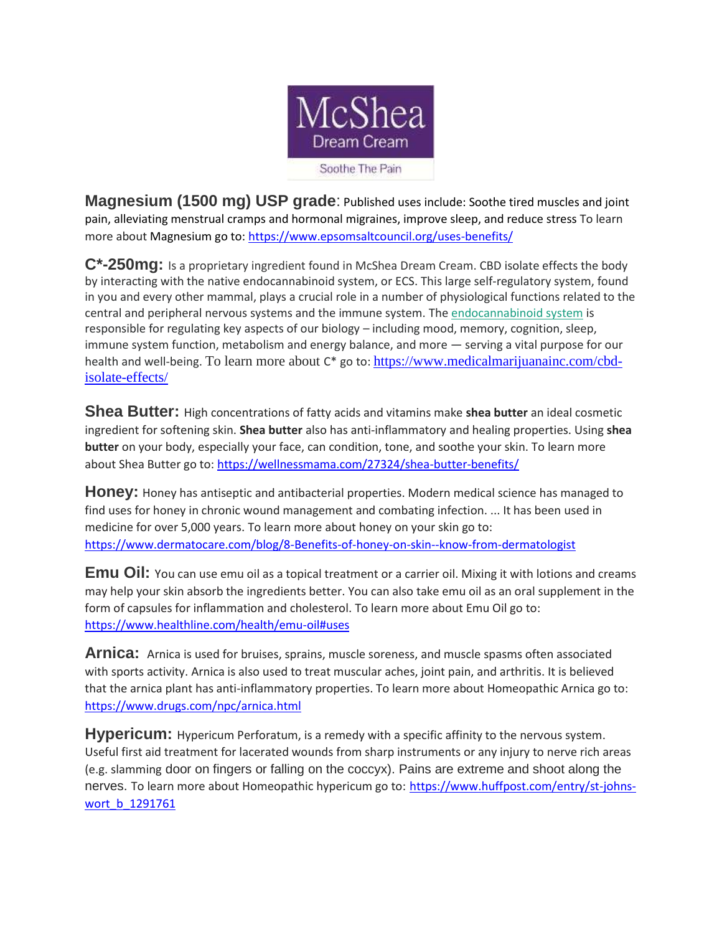

**Magnesium (1500 mg) USP grade**: Published uses include: Soothe tired muscles and joint pain, alleviating menstrual cramps and hormonal migraines, improve sleep, and reduce stress To learn more about Magnesium go to[: https://www.epsomsaltcouncil.org/uses-benefits/](https://www.epsomsaltcouncil.org/uses-benefits/)

**C\*-250mg:** Is a proprietary ingredient found in McShea Dream Cream. CBD isolate effects the body by interacting with the native endocannabinoid system, or ECS. This large self-regulatory system, found in you and every other mammal, plays a crucial role in a number of physiological functions related to the central and peripheral nervous systems and the immune system. The [endocannabinoid system](https://www.medicalmarijuanainc.com/endocannabinoid-system/) is responsible for regulating key aspects of our biology – including mood, memory, cognition, sleep, immune system function, metabolism and energy balance, and more — serving a vital purpose for our health and well-being. To learn more about  $C^*$  go to: [https://www.medicalmarijuanainc.com/cbd](https://www.medicalmarijuanainc.com/cbd-isolate-effects/)[isolate-effects/](https://www.medicalmarijuanainc.com/cbd-isolate-effects/)

**Shea Butter:** High concentrations of fatty acids and vitamins make **shea butter** an ideal cosmetic ingredient for softening skin. **Shea butter** also has anti-inflammatory and healing properties. Using **shea butter** on your body, especially your face, can condition, tone, and soothe your skin. To learn more about Shea Butter go to:<https://wellnessmama.com/27324/shea-butter-benefits/>

**Honey:** Honey has antiseptic and antibacterial properties. Modern medical science has managed to find uses for honey in chronic wound management and combating infection. ... It has been used in medicine for over 5,000 years. To learn more about honey on your skin go to: <https://www.dermatocare.com/blog/8-Benefits-of-honey-on-skin--know-from-dermatologist>

**Emu Oil:** You can use emu oil as a topical treatment or a carrier oil. Mixing it with lotions and creams may help your skin absorb the ingredients better. You can also take emu oil as an oral supplement in the form of capsules for inflammation and cholesterol. To learn more about Emu Oil go to: <https://www.healthline.com/health/emu-oil#uses>

**Arnica:** Arnica is used for bruises, sprains, muscle soreness, and muscle spasms often associated with sports activity. Arnica is also used to treat muscular aches, joint pain, and arthritis. It is believed that the arnica plant has anti-inflammatory properties. To learn more about Homeopathic Arnica go to: <https://www.drugs.com/npc/arnica.html>

**Hypericum:** Hypericum Perforatum, is a remedy with a specific affinity to the nervous system. Useful first aid treatment for lacerated wounds from sharp instruments or any injury to nerve rich areas (e.g. slamming door on fingers or falling on the coccyx). Pains are extreme and shoot along the nerves. To learn more about Homeopathic hypericum go to: [https://www.huffpost.com/entry/st-johns](https://www.huffpost.com/entry/st-johns-wort_b_1291761)[wort\\_b\\_1291761](https://www.huffpost.com/entry/st-johns-wort_b_1291761)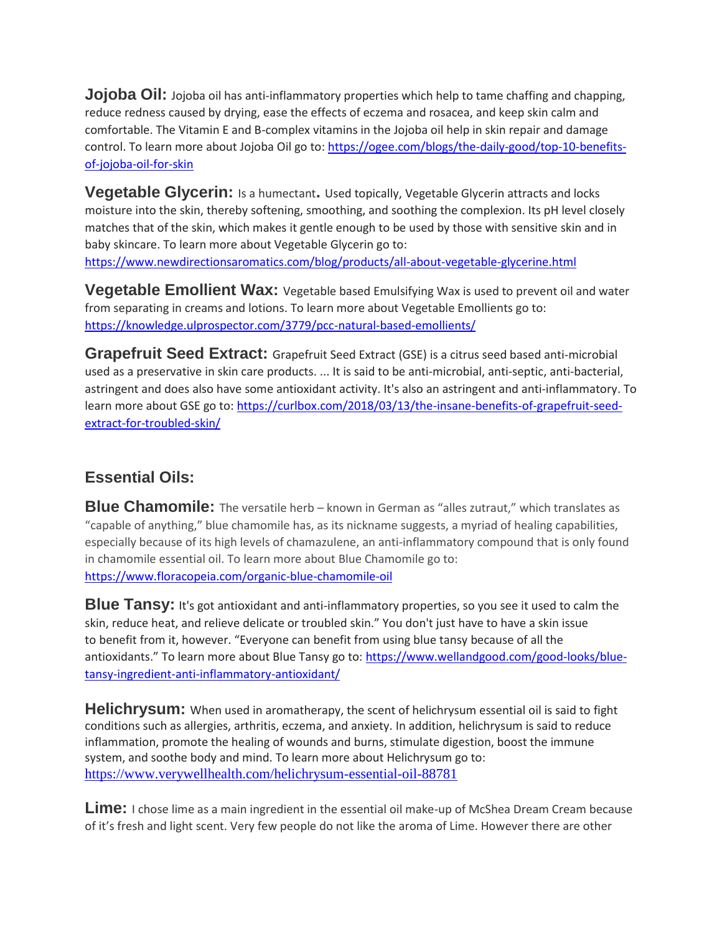**Jojoba Oil:** Jojoba oil has anti-inflammatory properties which help to tame chaffing and chapping, reduce redness caused by drying, ease the effects of eczema and rosacea, and keep skin calm and comfortable. The Vitamin E and B-complex vitamins in the Jojoba oil help in skin repair and damage control. To learn more about Jojoba Oil go to: [https://ogee.com/blogs/the-daily-good/top-10-benefits](https://ogee.com/blogs/the-daily-good/top-10-benefits-of-jojoba-oil-for-skin)[of-jojoba-oil-for-skin](https://ogee.com/blogs/the-daily-good/top-10-benefits-of-jojoba-oil-for-skin)

**Vegetable Glycerin:** Is a humectant**.** Used topically, Vegetable Glycerin attracts and locks moisture into the skin, thereby softening, smoothing, and soothing the complexion. Its pH level closely matches that of the skin, which makes it gentle enough to be used by those with sensitive skin and in baby skincare. To learn more about Vegetable Glycerin go to: <https://www.newdirectionsaromatics.com/blog/products/all-about-vegetable-glycerine.html>

**Vegetable Emollient Wax:** Vegetable based Emulsifying Wax is used to prevent oil and water from separating in creams and lotions. To learn more about Vegetable Emollients go to: <https://knowledge.ulprospector.com/3779/pcc-natural-based-emollients/>

**Grapefruit Seed Extract:** Grapefruit Seed Extract (GSE) is a citrus seed based anti-microbial used as a preservative in skin care products. ... It is said to be anti-microbial, anti-septic, anti-bacterial, astringent and does also have some antioxidant activity. It's also an astringent and anti-inflammatory. To learn more about GSE go to: [https://curlbox.com/2018/03/13/the-insane-benefits-of-grapefruit-seed](https://curlbox.com/2018/03/13/the-insane-benefits-of-grapefruit-seed-extract-for-troubled-skin/)[extract-for-troubled-skin/](https://curlbox.com/2018/03/13/the-insane-benefits-of-grapefruit-seed-extract-for-troubled-skin/)

## **Essential Oils:**

**Blue Chamomile:** The versatile herb – known in German as "alles zutraut," which translates as "capable of anything," blue chamomile has, as its nickname suggests, a myriad of healing capabilities, especially because of its high levels of chamazulene, an anti-inflammatory compound that is only found in chamomile essential oil. To learn more about Blue Chamomile go to: <https://www.floracopeia.com/organic-blue-chamomile-oil>

**Blue Tansy:** It's got antioxidant and anti-inflammatory properties, so you see it used to calm the skin, reduce heat, and relieve delicate or troubled skin." You don't just have to have a skin issue to benefit from it, however. "Everyone can benefit from using blue tansy because of all the antioxidants." To learn more about Blue Tansy go to: [https://www.wellandgood.com/good-looks/blue](https://www.wellandgood.com/good-looks/blue-tansy-ingredient-anti-inflammatory-antioxidant/)[tansy-ingredient-anti-inflammatory-antioxidant/](https://www.wellandgood.com/good-looks/blue-tansy-ingredient-anti-inflammatory-antioxidant/)

**Helichrysum:** When used in aromatherapy, the scent of helichrysum essential oil is said to fight conditions such as allergies, arthritis, eczema, and anxiety. In addition, helichrysum is said to reduce inflammation, promote the healing of wounds and burns, stimulate digestion, boost the immune system, and soothe body and mind. To learn more about Helichrysum go to: <https://www.verywellhealth.com/helichrysum-essential-oil-88781>

**Lime:** I chose lime as a main ingredient in the essential oil make-up of McShea Dream Cream because of it's fresh and light scent. Very few people do not like the aroma of Lime. However there are other